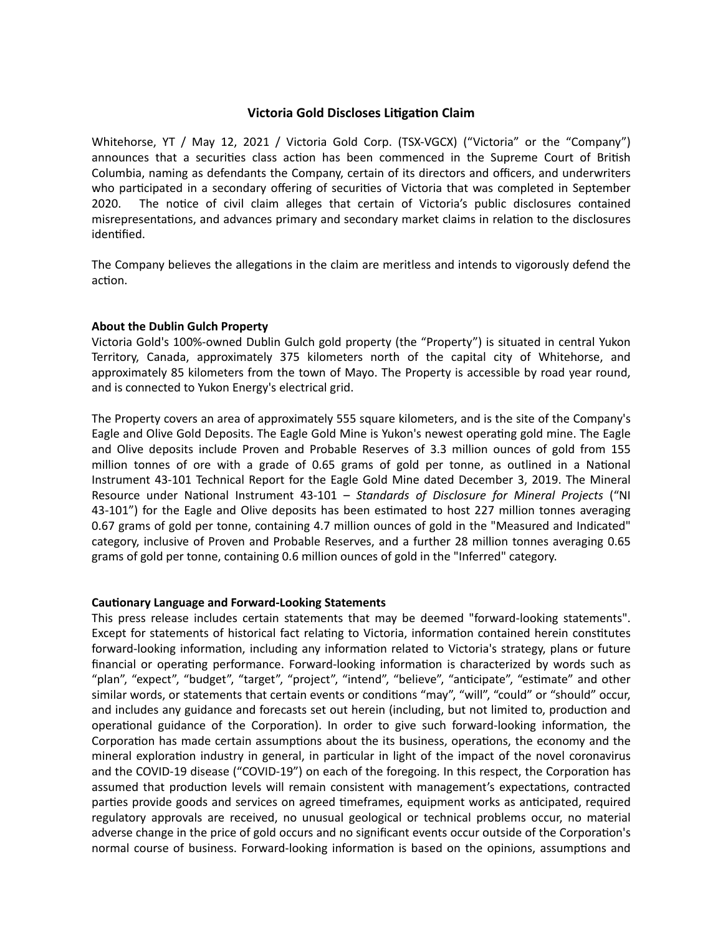## **Victoria Gold Discloses Litigation Claim**

Whitehorse, YT / May 12, 2021 / Victoria Gold Corp. (TSX-VGCX) ("Victoria" or the "Company") announces that a securities class action has been commenced in the Supreme Court of British Columbia, naming as defendants the Company, certain of its directors and officers, and underwriters who participated in a secondary offering of securities of Victoria that was completed in September 2020. The notice of civil claim alleges that certain of Victoria's public disclosures contained misrepresentations, and advances primary and secondary market claims in relation to the disclosures identified.

The Company believes the allegations in the claim are meritless and intends to vigorously defend the action.

## **About the Dublin Gulch Property**

Victoria Gold's 100%-owned Dublin Gulch gold property (the "Property") is situated in central Yukon Territory, Canada, approximately 375 kilometers north of the capital city of Whitehorse, and approximately 85 kilometers from the town of Mayo. The Property is accessible by road year round, and is connected to Yukon Energy's electrical grid.

The Property covers an area of approximately 555 square kilometers, and is the site of the Company's Eagle and Olive Gold Deposits. The Eagle Gold Mine is Yukon's newest operating gold mine. The Eagle and Olive deposits include Proven and Probable Reserves of 3.3 million ounces of gold from 155 million tonnes of ore with a grade of 0.65 grams of gold per tonne, as outlined in a National Instrument 43-101 Technical Report for the Eagle Gold Mine dated December 3, 2019. The Mineral Resource under National Instrument 43-101 – *Standards of Disclosure for Mineral Projects* ("NI 43-101") for the Eagle and Olive deposits has been estimated to host 227 million tonnes averaging 0.67 grams of gold per tonne, containing 4.7 million ounces of gold in the "Measured and Indicated" category, inclusive of Proven and Probable Reserves, and a further 28 million tonnes averaging 0.65 grams of gold per tonne, containing 0.6 million ounces of gold in the "Inferred" category.

## **Cautionary Language and Forward-Looking Statements**

This press release includes certain statements that may be deemed "forward-looking statements". Except for statements of historical fact relating to Victoria, information contained herein constitutes forward-looking information, including any information related to Victoria's strategy, plans or future financial or operating performance. Forward-looking information is characterized by words such as "plan", "expect", "budget", "target", "project", "intend", "believe", "anticipate", "estimate" and other similar words, or statements that certain events or conditions "may", "will", "could" or "should" occur, and includes any guidance and forecasts set out herein (including, but not limited to, production and operational guidance of the Corporation). In order to give such forward-looking information, the Corporation has made certain assumptions about the its business, operations, the economy and the mineral exploration industry in general, in particular in light of the impact of the novel coronavirus and the COVID-19 disease ("COVID-19") on each of the foregoing. In this respect, the Corporation has assumed that production levels will remain consistent with management's expectations, contracted parties provide goods and services on agreed timeframes, equipment works as anticipated, required regulatory approvals are received, no unusual geological or technical problems occur, no material adverse change in the price of gold occurs and no significant events occur outside of the Corporation's normal course of business. Forward-looking information is based on the opinions, assumptions and